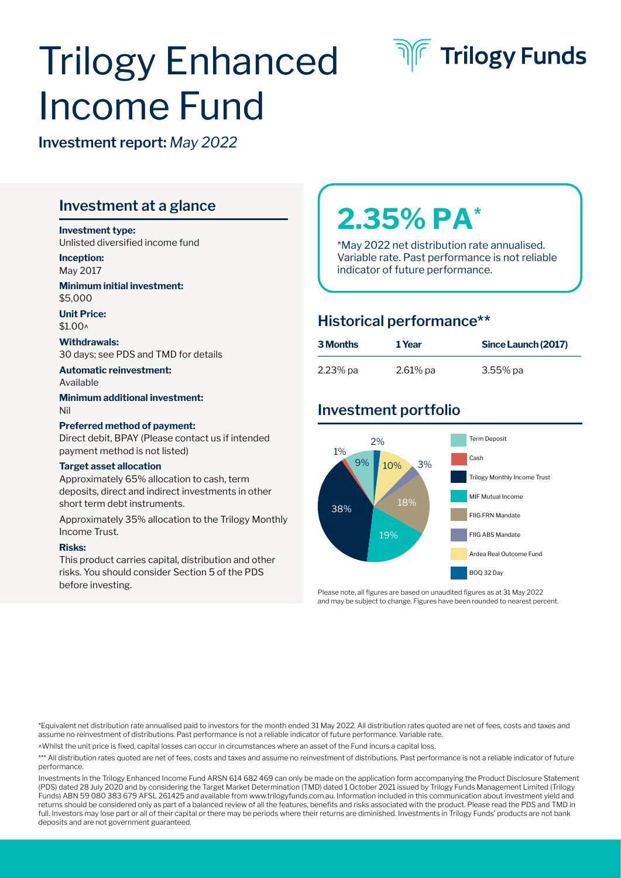# Trilogy Enhanced Income Fund



**Investment report:** *May 2022*

# **Investment at a glance**

#### **Investment type:**

Unlisted diversified income fund

**Inception:** May 2017

**Minimum initial investment:**  \$5,000

**Unit Price:**   $$1.00<sub>0</sub>$ 

#### **Withdrawals:** 30 days; see PDS and TMD for details

**Automatic reinvestment:**  Available

**Minimum additional investment:**  Nil

#### **Preferred method of payment:**

Direct debit, BPAY (Please contact us if intended payment method is not listed)

#### **Target asset allocation**

Approximately 65% allocation to cash, term deposits, direct and indirect investments in other short term debt instruments.

Approximately 35% allocation to the Trilogy Monthly Income Trust.

#### **Risks:**

This product carries capital, distribution and other risks. You should consider Section 5 of the PDS before investing.

# **2.35% PA\***

\*May 2022 net distribution rate annualised. Variable rate. Past performance is not reliable indicator of future performance.

## **Historical performance\*\***

| <b>3 Months</b> | 1 Year      | Since Launch (2017) |
|-----------------|-------------|---------------------|
| $2.23\%$ pa     | $2.61\%$ pa | $3.55\%$ pa         |

# **Investment portfolio**



Please note, all figures are based on unaudited figures as at 31 May 2022 and may be subject to change. Figures have been rounded to nearest percent.

\*Equivalent net distribution rate annualised paid to investors for the month ended 31 May 2022. All distribution rates quoted are net of fees, costs and taxes and assume no reinvestment of distributions. Past performance is not a reliable indicator of future performance. Variable rate.

^Whilst the unit price is fixed, capital losses can occur in circumstances where an asset of the Fund incurs a capital loss.

\*\*\* All distribution rates quoted are net of fees, costs and taxes and assume no reinvestment of distributions. Past performance is not a reliable indicator of future performance.

Investments in the Trilogy Enhanced Income Fund ARSN 614 682 469 can only be made on the application form accompanying the Product Disclosure Statement (PDS) dated 28 July 2020 and by considering the Target Market Determination (TMD) dated 1 October 2021 issued by Trilogy Funds Management Limited (Trilogy Funds) ABN 59 080 383 679 AFSL 261425 and available from www.trilogyfunds.com.au. Information included in this communication about investment yield and returns should be considered only as part of a balanced review of all the features, benefits and risks associated with the product. Please read the PDS and TMD in full. Investors may lose part or all of their capital or there may be periods where their returns are diminished. Investments in Trilogy Funds' products are not bank deposits and are not government guaranteed.